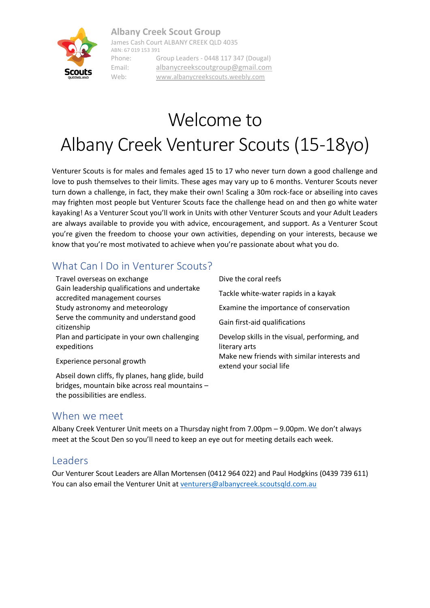#### **Albany Creek Scout Group**



James Cash Court ALBANY CREEK QLD 4035 ABN: 67 019 153 391 Phone: Group Leaders - 0448 117 347 (Dougal) Email: [albanycreekscoutgroup@gmail.com](mailto:albanycreekscoutgroup@gmail.com) Web: [www.albanycreekscouts.weebly.com](http://www.albanycreekscouts.weebly.com/)

# Welcome to

# Albany Creek Venturer Scouts (15-18yo)

Venturer Scouts is for males and females aged 15 to 17 who never turn down a good challenge and love to push themselves to their limits. These ages may vary up to 6 months. Venturer Scouts never turn down a challenge, in fact, they make their own! Scaling a 30m rock-face or abseiling into caves may frighten most people but Venturer Scouts face the challenge head on and then go white water kayaking! As a Venturer Scout you'll work in Units with other Venturer Scouts and your Adult Leaders are always available to provide you with advice, encouragement, and support. As a Venturer Scout you're given the freedom to choose your own activities, depending on your interests, because we know that you're most motivated to achieve when you're passionate about what you do.

# What Can I Do in Venturer Scouts?

Travel overseas on exchange Dive the coral reefs Gain leadership qualifications and undertake accredited management courses and directure Tackle white-water rapids in a kayak Study astronomy and meteorology Examine the importance of conservation Serve the community and understand good Serve the community and understand good Gain first-aid qualifications citizenship Plan and participate in your own challenging expeditions Develop skills in the visual, performing, and literary arts Experience personal growth Make new friends with similar interests and extend your social life Abseil down cliffs, fly planes, hang glide, build bridges, mountain bike across real mountains –

#### When we meet

the possibilities are endless.

Albany Creek Venturer Unit meets on a Thursday night from 7.00pm – 9.00pm. We don't always meet at the Scout Den so you'll need to keep an eye out for meeting details each week.

### **Leaders**

Our Venturer Scout Leaders are Allan Mortensen (0412 964 022) and Paul Hodgkins (0439 739 611) You can also email the Venturer Unit at venturers@albanycreek.scoutsqld.com.au